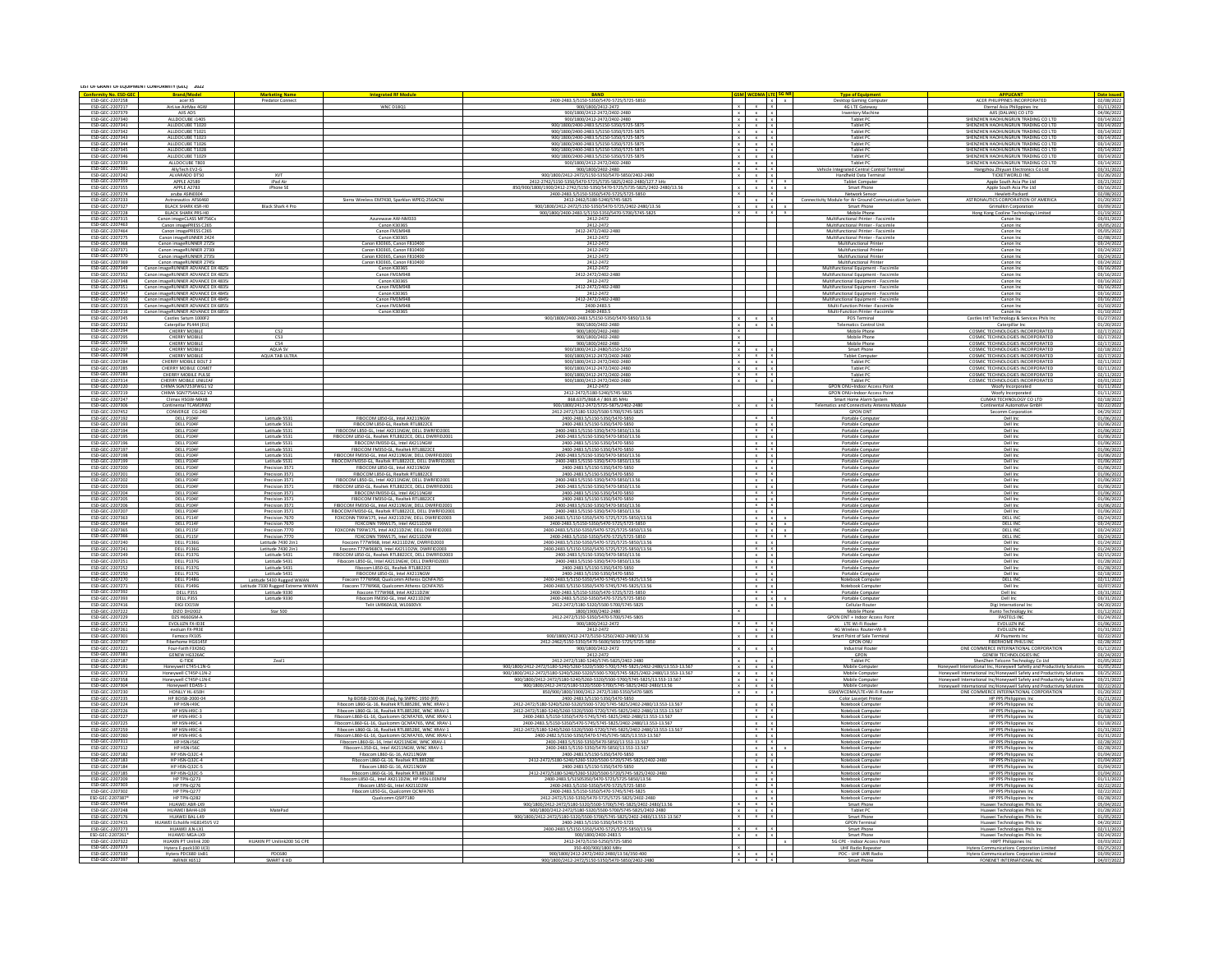| LIST OF GRANT OF EQUIPMENT CONFORMITY (GEC) 2022<br><b>GSM WCDMA LTE</b> |                                                                         |                                                    |                                                                                                        |                                                                                                                                                                          |                |                                                                      |                |                                                                                |                                                                                                                                   |                                 |
|--------------------------------------------------------------------------|-------------------------------------------------------------------------|----------------------------------------------------|--------------------------------------------------------------------------------------------------------|--------------------------------------------------------------------------------------------------------------------------------------------------------------------------|----------------|----------------------------------------------------------------------|----------------|--------------------------------------------------------------------------------|-----------------------------------------------------------------------------------------------------------------------------------|---------------------------------|
| <b>Conformity No. ESD-GEC</b><br>ESD-GEC-2207258                         | <b>Brand/Model</b><br>acer X5                                           | <b>Marketing Name</b><br>Predator Connec           | <b>itegrated RF Mod</b>                                                                                | <b>BAND</b><br>2400-2483.5/5150-5350/5470-5725/5725-585                                                                                                                  |                |                                                                      | $\overline{X}$ | <b>Type of Equipment</b><br>esktop Gaming Computi                              | APPLICANT<br>ACER PHILIPPINES INCORPORATE                                                                                         | Date issue<br>02/08/2022        |
| ESD-GEC-2207217                                                          | AirLive AirMax 4G                                                       |                                                    | <b>WNC D18Q1</b>                                                                                       | 900/1800/2412-2472                                                                                                                                                       | $\mathbf{x}$   | $x - x$                                                              |                | <b>4G LTE Gateway</b>                                                          | Eternal Asia Philippines Inc                                                                                                      | 01/11/202                       |
| ESD-GEC-2207379<br>ESD-GEC-2207340                                       | AJIS ADS<br>ALLDOCUBE i140                                              |                                                    |                                                                                                        | 900/1800/2412-2472/2402-2480                                                                                                                                             |                | $x - x - x$                                                          |                | wentory Machin                                                                 | AIIS (DALIAN) CO LTD                                                                                                              | 04/06/2022                      |
| ESD-GEC-2207341                                                          | ALLDOCUBE T1020                                                         |                                                    |                                                                                                        | 900/1800/2412-2472/2402-248<br>900/1800/2400-2483.5/5150-5350/5725-587!                                                                                                  |                | $x - x - x$<br>$x + x + x$                                           |                | Tablet P                                                                       | SHENZHEN HADHUNGRUN TRADING CO LTD                                                                                                | 03/14/202<br>03/14/202          |
| FSD-GFC-2207342                                                          | ALLOOCLIRE T102                                                         |                                                    |                                                                                                        | 900/1800/2400-2483 5/5150-5350/5725-587                                                                                                                                  |                | $x \times x$                                                         |                | Tablet PO                                                                      | SHENZHEN HAOHUNGRUN TRADING CO L'                                                                                                 | 03/14/20                        |
| ESD-GEC-2207343                                                          | ALLDOCUBE T1023                                                         |                                                    |                                                                                                        | 900/1800/2400-2483.5/5150-5350/5725-5875                                                                                                                                 |                | $x \times x$                                                         |                | Tablet PC                                                                      | SHENZHEN HAOHUNGRUN TRADING CO LTD<br>SHENZHEN HAOHUNGRUN TRADING CO LTD                                                          | 03/14/202                       |
| ESD-GEC-2207344<br>ESD-GEC-2207345                                       | ALLDOCUBE T1026<br>ALLDOCUBE T1028                                      |                                                    |                                                                                                        | 900/1800/2400-2483.5/5150-5350/5725-5875<br>900/1800/2400-2483.5/5150-5350/5725-5875                                                                                     |                | $x \quad x \quad x$                                                  |                | Tablet PC<br>Tablet PC                                                         |                                                                                                                                   | 03/14/202                       |
| ESD-GEC-2207346<br>ESD-GEC-2207339                                       | ALLDOCUBE T1029<br>ALLDOCUBE T80                                        |                                                    |                                                                                                        | 900/1800/2400-2483.5/5150-5350/5725-5875<br>900/1800/2412-2472/2402-248                                                                                                  |                | $x \mid x \mid x$<br>$x \times x$                                    |                | Tablet PC<br>Tablet PO                                                         | SHENZHEN HAOHUNGRUN TRADING CO LTD<br>SHENZHEN HAOHUNGRUN TRADING CO LTI                                                          | 03/14/202<br>03/14/202          |
| ESD-GEC-2207391                                                          | AllyTech EV2-G                                                          |                                                    |                                                                                                        | 900/1800/2402-2480                                                                                                                                                       |                | $x \rightarrow x \rightarrow x$                                      |                | Vehicle Integrated Central Control Terminal                                    | Hangzhou Zhiyuan Electronics Co Ltd                                                                                               | 03/31/2022                      |
| ESD-GEC-2207242                                                          | ALVARADO DT50<br>APPLE A2589<br>APPLE A2783                             | XVT<br>iPad Air                                    |                                                                                                        | 900/1800/2412-2472/5150-5350/5470-5850/2402-2480                                                                                                                         |                | x x x<br>$\mathbf{x}$ $\mathbf{x}$                                   |                | Handheld Data Terminal<br>ablet Compute                                        | <b>TICKETWORLD INC</b><br>Apple South Asia Pte Ltc                                                                                | $\frac{01/26/2022}{03/21/2022}$ |
| ESD-GEC-2207359<br>ESD-GEC-2207355                                       |                                                                         | Phone SI                                           |                                                                                                        |                                                                                                                                                                          | $\overline{X}$ | $x + x$                                                              |                | Smart Phone                                                                    | Apple South Asia Pte Ltc                                                                                                          |                                 |
| ESD-GEC-2207274<br>ESD-GEC-2207233                                       | aruba ASIN0304                                                          |                                                    | Sierra Wireless EM7430, Sparklan WPEQ-256ACNI                                                          | 2400-2483.5/5150-5350/5470-5725/5725-5850<br>2412-2462/5180-5240/5745-5825                                                                                               |                | $x - x$                                                              |                | Network Senso<br>Connectivity Module for Air Ground Comn<br>ation System       | Hewlett-Packard<br>ASTRONAUTICS CORPORATION OF AMERIC                                                                             | 02/08/2022                      |
| ESD-GEC-2207327                                                          | <b>Astronautics AFS6460</b><br>BLACK SHARK KSR-HO                       | Black Shark 4 Pro                                  |                                                                                                        | 900/1800/2412-2472/5150-5350/5470-5725/2402-2480/13.56                                                                                                                   | $\mathbf{x}$   | x                                                                    |                | <b>Smart Phone</b>                                                             | Grimalkin Corporation                                                                                                             | 01/20/2022<br>03/09/2022        |
| ESD-GEC-2207228<br>ESD-GEC-2207315                                       | <b>BLACK SHARK PRS-HO</b><br>Canon imageCLASS MF756C>                   |                                                    | Azurewave AW-NM333                                                                                     | 900/1800/2400-2483.5/5150-5350/5470-5700/5745-5825<br>2412-2472                                                                                                          | $\mathbf{x}$   | $x - x$                                                              |                | Mobile Phone<br>Multifunctional Printer - Facsimile                            | Hong Kong Cooline Technology Limited<br>Canon Inc                                                                                 | 01/19/2022<br>03/01/202         |
| ESD-GEC-2207463                                                          | Canon imagePRESS C265                                                   |                                                    | Canon K30365                                                                                           | 2412-2472                                                                                                                                                                |                |                                                                      |                | Multifunctional Printer - Facsimile                                            | Canon Inc.                                                                                                                        | 05/05/2022                      |
| ESD-GEC-2207464                                                          | Canon imagePRESS C265                                                   |                                                    | Canon FM1M948<br>Canon K30365                                                                          | 2412-2472/2402-2480<br>2412-2472                                                                                                                                         |                |                                                                      |                | Multifunctional Printer - Facsimile                                            | Canon Inc                                                                                                                         | 05/05/2022                      |
| ESD-GEC-2207275<br>ESD-GEC-2207368                                       | Canon imageRUNNER 2424<br>Canon imageRUNNER 2725                        |                                                    | Canon K30365, Canon F810400                                                                            | 2412-2472                                                                                                                                                                |                |                                                                      |                | Multifunctional Printer - Facsimile<br>Multifunctional Printer                 | Canon Inc<br>Canon Inc.                                                                                                           | 02/08/2022                      |
| ESD-GEC-2207371                                                          | Canon imageRUNNER 2730i                                                 |                                                    | Canon K30365, Canon F810400                                                                            | 2412-2472<br>2412-2472                                                                                                                                                   |                |                                                                      |                | Multifunctional Printer                                                        | Canon Inc.                                                                                                                        | 03/24/2022                      |
| ESD-GEC-2207370<br>ESD-GEC-2207369                                       | Canon imageRUNNER 2735<br>Canon imageRUNNER 2745                        |                                                    | Canon K30365, Canon F810400<br>Canon K30365, Canon F81040                                              | 2412-2472                                                                                                                                                                |                |                                                                      |                | Multifunctional Printer<br>Multifunctional Printer                             | Canon Inc<br>Canon Inc.                                                                                                           | 03/24/202<br>03/24/202          |
| ESD-GEC-2207349                                                          | Canon imageRUNNER ADVANCE DX 4825i                                      |                                                    | Canon K30365                                                                                           | 2412-2472                                                                                                                                                                |                |                                                                      |                | Multifunctional Equipment - Facsimile                                          | Canon Inc.                                                                                                                        | 03/16/2022                      |
| ESD-GEC-2207352<br>ESD-GEC-2207348                                       | Canon imageRUNNER ADVANCE DX 4825<br>Canon imageRUNNER ADVANCE DX 4835i |                                                    | Canon FM1M948<br>Canon K30365                                                                          | 2412-2472/2402-24<br>2412-2472                                                                                                                                           |                |                                                                      |                | Multifunctional Equipment - Facsimile<br>Multifunctional Equipment - Facsimile | Canon Inc<br>Canon Inc                                                                                                            | 03/16/20<br>03/16/20            |
| ESD-GEC-2207351                                                          | Canon imageRUNNER ADVANCE DX 4835i                                      |                                                    | Canon FM1M948                                                                                          | 2412-2472/2402-2480                                                                                                                                                      |                |                                                                      |                | Multifunctional Equipment - Facsimile                                          | Canon Inc                                                                                                                         | 03/16/202                       |
| ESD-GEC-2207347<br>ESD-GEC-2207350                                       | Canon imageRUNNER ADVANCE DX 4845<br>Canon imageRUNNER ADVANCE DX 4845i |                                                    | Canon K30365<br>Canon FM1M948                                                                          | 2412-2472<br>2412-2472/2402-2480                                                                                                                                         |                |                                                                      |                | Multifunctional Equipment - Facsimile<br>Multifunctional Equipment - Facsimi   | Canon Inc<br>Canon Inc                                                                                                            | 03/16/202<br>03/16/2022         |
| ESD-GEC-2207215                                                          | Canon ImageRUNNER ADVANCE DX 6855                                       |                                                    | Canon FM1M948                                                                                          | 2400-2483.5                                                                                                                                                              |                |                                                                      |                | Multi-Function Print                                                           | Canon In                                                                                                                          | 01/10/202                       |
| ESD-GEC-2207216<br>ESD-GEC-2207245                                       | Canon ImageRUNNER ADVANCE DX 6855i<br>Castles Saturn 1000F2             |                                                    | Canon K30365                                                                                           | 2400-2483.5<br>900/1800/2400-2483.5/5150-5350/5470-5850/13.56                                                                                                            | $\overline{X}$ | $x - x$                                                              |                | Multi-Function Printer - Facsimi<br>POS Terminal                               | Canon In<br>Castles Int'l Technology & Services Phils Inc                                                                         | 01/10/202<br>01/27/2022         |
| ESD-GEC-2207232                                                          | Caterpillar PL444 (EU)                                                  |                                                    |                                                                                                        | 900/1800/2402-2480                                                                                                                                                       |                | $x \mid x$                                                           |                | <b>Telematics Control Unit</b>                                                 | Caterpillar Inc.                                                                                                                  | 01/20/202                       |
| ESD-GEC-2207294<br>FSD-GFC-2207295                                       | CHERRY MOBILE<br><b>CHERRY MOBILE</b>                                   | C52<br>C53                                         |                                                                                                        | 900/1800/2402-2480<br>900/1800/2402-248                                                                                                                                  | $\mathbf{x}$   |                                                                      |                | Mobile Phone<br>Mobile Phone                                                   | COSMIC TECHNOLOGIES INCORPORATED<br>COSMIC TECHNOLOGIES INCORPORATED                                                              | 02/17/202<br>02/17/202          |
| ESD-GEC-2207296                                                          | CHERRY MOBILE                                                           | C54                                                |                                                                                                        | 900/1800/2402-2480                                                                                                                                                       |                |                                                                      |                | Mobile Phone                                                                   | COSMIC TECHNOLOGIES INCORPORATED                                                                                                  | 02/17/202                       |
| ESD-GEC-2207297<br>ESD-GEC-2207298                                       | <b>CHERRY MOBIL</b>                                                     | AQUA SV                                            |                                                                                                        | 900/1800/2412-2480/5150-525                                                                                                                                              |                |                                                                      |                | Smart Phone                                                                    | COSMIC TECHNOLOGIES INCORPORATE                                                                                                   | 02/18/202                       |
| ESD-GEC-2207284                                                          | CHERRY MOBILE<br>CHERRY MOBILE BOLT:                                    | <b>QUA TAB UL'</b>                                 |                                                                                                        | 900/1800/2412-2472/2402-2480<br>900/1800/2412-2472/2402-2480                                                                                                             | $\mathbf{x}$   | $x - x$                                                              |                | ablet Compute<br>Tablet PC                                                     | COSMIC TECHNOLOGIES INCORPORATE<br>COSMIC TECHNOLOGIES INCORPORATED                                                               | 02/17/202                       |
| ESD-GEC-2207285<br>ESD-GEC-2207283                                       | CHERRY MOBILE COME                                                      |                                                    |                                                                                                        |                                                                                                                                                                          |                |                                                                      |                | Tablet P                                                                       |                                                                                                                                   | $\frac{02/11/2022}{02/11/2022}$ |
| ESD-GEC-2207314                                                          | CHERRY MOBILE PULSE<br>CHERRY MOBILE UNILEAF                            |                                                    |                                                                                                        | 900/1800/2412-2472/2402-2480<br>900/1800/2412-2472/2402-2480                                                                                                             |                | $x \mid x \mid x$<br>x x x x                                         |                | Tablet PC<br>Tablet PC                                                         | COSMIC TECHNOLOGIES INCORPORATED<br>COSMIC TECHNOLOGIES INCORPORATED                                                              | 02/11/202<br>03/01/202          |
| ESD-GEC-2207220<br>ESD-GEC-2207219                                       | CHIMA SGN7ZS3FWG1VZ                                                     |                                                    |                                                                                                        | 2412-2472<br>2412-2472/5180-5240/5745-5825                                                                                                                               |                |                                                                      |                | ndoor Access                                                                   | Woofy Incorporate                                                                                                                 | $\frac{01/11/202}{01/11/202}$   |
| ESD-GEC-2207247                                                          | Climax HSGW-MAX8                                                        |                                                    |                                                                                                        | 868.6375/868.4 / 869.85 MHz                                                                                                                                              |                |                                                                      |                | GPON ONU+Indoor Access Poin<br>Smart Home Alarm System                         | Woofy Incorporates<br>CLIMAX TECHNOLOGY CO LTD                                                                                    |                                 |
| ESD-GEC-2207306                                                          | Continental TCAM1RW2                                                    |                                                    |                                                                                                        | 900/1800/2412-2472/5725-5875/2402-248                                                                                                                                    |                | $x - x$                                                              |                | Telematics and Connectivity Antenna Modul                                      | Continental Automotive GmbH                                                                                                       | $\frac{02/18/2022}{02/22/2022}$ |
| ESD-GEC-2207452<br>ESD-GEC-2207192                                       | ONVERGE CG-24D<br>DELL P104F                                            | Latitude 5531                                      | FIBOCOM L850-GL, Intel AX211NGW                                                                        | 412-2472/5180-5320/5500-5700/5745-582<br>2400-2483.5/5150-5350/5470-5850                                                                                                 |                | $\mathbf{x}=\mathbf{x}$                                              |                | <b>GPON ONT</b><br>Portable Compute                                            | Secomm Corporati<br>Dell Inc                                                                                                      | 04/29/202<br>01/06/2022         |
| ESD-GEC-2207193                                                          | <b>DELL P104</b>                                                        | Latitude 5531                                      | FIBOCOM L850-GL, Realtek RTL8822CE                                                                     | 2400-2483.5/5150-5350/5470-5850                                                                                                                                          |                | $x - x$                                                              |                | Portable Computer                                                              | Dell Inc.                                                                                                                         | 01/06/2022                      |
| ESD-GEC-2207194<br>ESD-GEC-2207195                                       | DELL P104F<br>DELL P104F                                                | Latitude 5531<br>Latitude 5531                     | FIBOCOM L850-GL, Intel AX211NGW, DELL DWRFID200<br>FIBOCOM L850-GL, Realtek RTL8822CE, DELL DWRFID2001 | 2400-2483.5/5150-5350/5470-5850/13.5<br>2400-2483.5/5150-5350/5470-5850/13.56                                                                                            |                | $\frac{x}{x}$ $\frac{x}{x}$                                          |                | Portable Compute<br>Portable Computer                                          | Dell Inc<br>Dell Inc                                                                                                              | 01/06/202<br>01/06/2022         |
| ESD-GEC-2207196                                                          | DELL P104F                                                              | Latitude 5531                                      | FIBOCOM FM350-GL. Intel AX211NGW                                                                       | 2400-2483.5/5150-5350/5470-5850                                                                                                                                          |                | $x \times$                                                           |                | Portable Compute                                                               | Dell Inc                                                                                                                          | 01/06/202                       |
| ESD-GEC-2207197<br>ESD-GEC-2207198                                       | DELL P104F<br>DELL P104F                                                | Latitude 5531<br>Latitude 5531                     | FIBOCOM FM350-GL, Realtek RTL8822CE<br>FIBOCOM FM350-GL, Intel AX211NGW, DELL DWRFID2001               | 2400-2483.5/5150-5350/5470-5850<br>2400-2483.5/5150-5350/5470-5850/13.56                                                                                                 |                | $x - x$<br>$x \mid x$                                                |                | Portable Compute<br>Portable Computer                                          | Dell Inc<br>Dell Inc.                                                                                                             | 01/06/202<br>01/06/2022         |
| ESD-GEC-2207199                                                          | DELL P104F                                                              | Latitude 5531                                      | FIBOCOM FM350-GL, Realtek RTL8822CE, DELL DWRFID2001                                                   | 2400-2483.5/5150-5350/5470-5850/13.56                                                                                                                                    |                | $\begin{array}{c c}\n & x & x \\ \hline\n & x & x\n\end{array}$      |                | Portable Compute                                                               | Dell Inc                                                                                                                          | 01/06/2022                      |
| ESD-GEC-2207200<br>ESD-GEC-2207201                                       | DELL P104F<br>DELL P104F                                                | Precision 3571<br>Precision 3571                   | FIBOCOM L850-GL, Intel AX211NGW<br>FIBOCOM L850-GL, Realtek RTL8822CE                                  | 2400-2483.5/5150-5350/5470-5850<br>2400-2483.5/5150-5350/5470-5850                                                                                                       |                | $x - x$                                                              |                | Portable Computer                                                              | Dell Inc<br>Dell Inc                                                                                                              | 01/06/202                       |
| ESD-GEC-220720                                                           | <b>DELL P104</b>                                                        |                                                    | FIBOCOM L850-GL, Intel AX211NGW, DELL DW                                                               |                                                                                                                                                                          |                | $x$ $\bar{x}$                                                        |                | Portable Compute<br>Portable Compute                                           | Dell Inc                                                                                                                          | 01/06/202                       |
| ESD-GEC-2207203                                                          | DELL P104F                                                              | Precision 3571                                     | FIBOCOM L850-GL, Realtek RTL8822CE, DELL DWRFID2001                                                    | 2400-2483.5/5150-5350/5470-5850/13.56                                                                                                                                    |                | x I x                                                                |                | Portable Compute                                                               | Dell Inc                                                                                                                          | 01/06/2022                      |
| ESD-GEC-2207204<br>ESD-GEC-2207205                                       | DELL P104F<br>DELL P104F                                                | Precision 3571<br>Precision 3571                   | FIBOCOM FM350-GL, Intel AX211NGW<br>FIBOCOM FM350-GL, Realtek RTL8822CE                                | 2400-2483.5/5150-5350/5470-5850<br>2400-2483.5/5150-5350/5470-5850                                                                                                       |                | $\frac{x}{x}$ $\frac{x}{x}$                                          |                | Portable Computer<br>Portable Computer                                         | Dell Inc<br>Dell Inc                                                                                                              | 01/06/2022                      |
| ESD-GEC-2207206                                                          | DELL P104F                                                              | Precision 3571                                     | FIBOCOM FM350-GL, Intel AX211NGW, DELL DWRFID2001                                                      | 2400-2483.5/5150-5350/5470-5850/13.56                                                                                                                                    |                | $x \cdot x$                                                          |                | Portable Compute                                                               | Dell Inc.                                                                                                                         | 01/06/202                       |
| ESD-GEC-2207207<br>ESD-GEC-2207363                                       | DELL P104F<br>DELL P114F                                                | Precision 3571<br>Precision 7670                   | FIBOCOM FM350-GL, Realtek RTL8822CE, DELL DWRFID20<br>FOXCONN T99W175, Intel AX211D2W, DELL DWRFID2003 | 2400-2483.5/5150-5350/5470-5725/5725-5850/13.5                                                                                                                           |                | $x - x$                                                              |                | Portable Compute<br>Portable Computer                                          | Dell Inc<br><b>DELL INC</b>                                                                                                       | 01/06/202<br>03/24/202          |
| ESD-GEC-2207364                                                          | DELL P114F                                                              | Precision 7670                                     | FOXCONN T99W175, Intel AX211D2W                                                                        | 2400-2483.5/5150-5350/5470-5725/5725-5850                                                                                                                                |                | $\begin{array}{c c} x & x \\ x & x \end{array}$                      |                | Portable Computer                                                              | DELL INC                                                                                                                          | 03/24/2022                      |
| ESD-GEC-2207365<br>ESD-GEC-2207366                                       | DELL P115F<br>DELL P115F                                                | Precision 7770<br>Precision 7770                   | FOXCONN T99W175, Intel AX211D2W, DELL DWRFID2003<br>FOXCONN T99W175, Intel AX211D2W                    | 2400-2483.5/5150-5350/5470-5725/5725-5850/13.56<br>2400-2483.5/5150-5350/5470-5725/5725-5850                                                                             |                | $x - x$                                                              |                | Portable Computer<br>Portable Computer                                         | DELL INC<br>DELL INC                                                                                                              | 03/24/2022<br>03/24/202         |
| ESD-GEC-2207240                                                          | <b>DELL P1360</b>                                                       | Latitude 7430 2in                                  | oxconn T77W968, Intel AX211D2W, DWRFID20                                                               | 2400-2483.5/5150-5350/5470-5725/5725-5850/13.5                                                                                                                           |                | $x \mid x$                                                           |                | Portable Compute                                                               | Dell Inc                                                                                                                          | 01/24/202                       |
| ESD-GEC-2207241                                                          | DELL P136G                                                              | Latitude 7430 2in1<br>Latitude 5431                | Faxconn T77W968C9, Intel AX211D2W, DWRFID2003<br>FIBOCOM L850-GL, Realtek RTL8822CE, DELL DWRFID2003   | 2400-2483.5/5150-5350/5470-5725/5725-5850/13.56                                                                                                                          |                | $x + x$                                                              |                | Portable Compute<br>Portable Computer                                          | Dell Inc<br>Dell Inc                                                                                                              | 01/24/202                       |
| ESD-GEC-2207249<br>ESD-GEC-2207251                                       | <b>DELL P137G</b><br><b>DELL P137G</b>                                  | Latitude 5431                                      | Fibocom L850-GL, Intel AX211NGW, DELL DWRFID2003                                                       | 2400-2483.5/5150-5350/5470-5850/13.56<br>2400-2483.5/5150-5350/5470-5850/13.56                                                                                           |                | $\begin{array}{c} x \\ x \end{array}$                                |                | Portable Computer                                                              | Dell Inc                                                                                                                          | $02/15/202$<br>$01/28/202$      |
| ESD-GEC-2207252<br>ESD-GEC-2207250                                       | DELL P137G<br>DELL P137G                                                | Latitude 5431<br>Latitude 5431                     | Fibocom L850-GL. Realtek RTL8822CE<br>FIBOCOM L850-GL, Intel AX211NG                                   | 2400-2483.5/5150-5350/5470-5850<br>2400-2483.5/5150-5350/5470-5850                                                                                                       |                | $x \mid x$<br>$x - x$                                                |                | Portable Compute<br>Portable Compute                                           | Dell Inc.<br>Dell Inc                                                                                                             | 01/28/202<br>02/18/202          |
| ESD-GEC-2207270                                                          | DELL P148G                                                              | Latitude 5430 Rugged WWA                           | Faxconn T77W968, Qualcomm Atheros QCNFA76                                                              | 2400-2483.5/5150-5350/5470-5745/5745-5825/13.5                                                                                                                           |                | $x - x$                                                              |                | Notebook Compute                                                               | <b>DELL INC</b>                                                                                                                   | 02/11/202                       |
| ESD-GEC-2207271<br>ESD-GEC-2207392                                       | DELL P149G<br>DELL P35S                                                 | Latitude 7330 Rugged Extreme WWAN<br>Latitude 9330 | Faxconn T77W968, Qualcomm Atheros QCNFA765<br>Foxconn T77W968, Intel AX211D2W                          | 2400-2483.5/5150-5350/5470-5745/5745-5825/13.56<br>2400-2483.5/5150-5350/5470-5725/5725-5850                                                                             |                | $\begin{array}{c} x \\ x \end{array}$                                |                | Notebook Compute<br>Portable Compute                                           | Dell Inc.<br>Dell Inc                                                                                                             | 02/07/2022                      |
| ESD-GEC-2207393                                                          | DELL P3SS                                                               | Latitude 9330                                      | Fibocom FM350-GL. Intel AX211D2W                                                                       | 2400-2483.5/5150-5350/5470-5725/5725-5850                                                                                                                                |                | x x                                                                  |                | Portable Compute                                                               | Dell Inc.                                                                                                                         | 03/31/202                       |
| FSD-GFC-2207416                                                          | DIGI EX15W                                                              | Star 500                                           | Telit LM960A18, WLE600V                                                                                | 2412-2472/5180-5320/5500-5700/5745-582                                                                                                                                   |                |                                                                      |                | Cellular Route                                                                 | Digi International I                                                                                                              | 04/20/202                       |
| ESD-GEC-2207222<br>ESD-GEC-2207229                                       | DIZO DH2002<br>DZS H660GM-A                                             |                                                    |                                                                                                        | 1800/1900/2402-2480<br>2412-2472/5150-5350/5470-5700/5745-5805                                                                                                           |                |                                                                      |                | Mobile Phone<br>GPON ONT + Indoor Access Point                                 | Runto Technology Inc<br>PASTELS INC                                                                                               | 01/12/202<br>01/24/2022         |
| ESD-GEC-2207172<br>ESD-GEC-2207261                                       | EVOLUZN FX-ID3<br>evoluzn FX-PR3E                                       |                                                    |                                                                                                        | 900/1800/2412-2472<br>2412-2472                                                                                                                                          |                | $x \cdot x$                                                          |                | LTE Wi-Fi Router<br>4G Wireless Router+Wi-Fi                                   | EVOLUZN INC<br>EVOLUZN INC                                                                                                        | 01/31/2022                      |
| ESD-GEC-2207301                                                          | Famoco FX109                                                            |                                                    |                                                                                                        | 900/1800/2412-2472/5150-5250/2402-2480/13.56                                                                                                                             | $\mathbf{x}$   |                                                                      |                | t Point of Sale Ter                                                            | AF Payments                                                                                                                       | 02/22/202                       |
| ESD-GEC-220730<br>ESD-GEC-2207221                                        | Fiberhome HG6145F<br>Four-Faith F3X26O                                  |                                                    |                                                                                                        | 2412-2462/5150-5350/5470-5600/5650-5725/5725-585<br>900/1800/2412-2472                                                                                                   |                | $x - x - x$                                                          |                | <b>GPON ONU</b>                                                                | FIBERHOME PHILS INC<br>ONE COMMERCE INTERNATIONAL CORPORATION                                                                     | 02/28/2022                      |
| ESD-GEC-2207381                                                          | GENEW HG326A                                                            |                                                    |                                                                                                        | 2412-2472                                                                                                                                                                |                |                                                                      |                | <b>Industrial Router</b><br>GPON                                               | <b>GENEW TECHNOLOGIES INC</b>                                                                                                     | $01/12/202$<br>$03/24/202$      |
| ESD-GEC-2207187<br>ESD-GEC-2207191                                       | G-TIDE                                                                  | Zeal1                                              |                                                                                                        | 2412-2472/5180-5240/5745-5825/2402-2480                                                                                                                                  |                | $x \mid x$                                                           |                | Tablet PC                                                                      | ShenZhen Telconn Technology Co Ltd<br>Honeywell Inte                                                                              | 01/05/202                       |
| ESD-GEC-2207372                                                          | Honeywell CT45-L1N-G<br>Honeywell CT4SP-L1N-2                           |                                                    |                                                                                                        | 900/1800/2412-2472/5180-5240/5260-5320/5500-5700/5745-5825/2402-2480/13.555-13.567<br>900/1800/2412-2472/5180-5240/5260-5320/5500-5700/5745-5825/2402-2480/13.555-13.567 |                | $x - x$<br>$x - x - x$                                               |                | Mobile Comput<br>Mobile Computer                                               | onal Inc, Honeywell Safetty and Productivity Solutions<br>Honeywell International Inc/Honeywell Safety and Productivity Solutions | 01/05/202<br>03/25/202          |
| ESD-GEC-2207358                                                          | Honeywell CT45P-L1N-E                                                   |                                                    |                                                                                                        | 900/1800/2412-2472/5180-5240/5260-5320/5500-5700/5745-5825/13.553-13.567                                                                                                 |                | $x - x - x$                                                          |                | Mobile Computer                                                                | Honeywell International Inc/Honeywell Safety and Productivity Solutions                                                           | 03/21/2022                      |
| ESD-GEC-2207304<br>ESD-GEC-2207230                                       | Honeywell EDASS-<br>HONLLY HL-650H                                      |                                                    |                                                                                                        | 900/1800/2412-2472/5180-5320/5500-5700/5745-5825/2402-2480/13.56<br>850/900/1800/1900/2412-2472/5180-5350/5470-5805                                                      |                | $x \t x$<br>$x \cdot x$                                              |                | Mobile Compute<br>GSM/WCDMA/LTE+Wi-Fi Rout                                     | Honeywell International Inc/Honeywell Safety and Productivity Solutions<br>ONE COMMERCE INTERNATIONAL CORPORATION                 | 01/20/202                       |
| ESD-GEC-2207235                                                          | HP BOISB-2000-0                                                         |                                                    | hp BOISB-1500-06 (Fax), hp SNPRC-1950 (RF                                                              | 2400-2483.5/5150-5350/5470-5850                                                                                                                                          |                |                                                                      |                | Color Laserjet Printe                                                          | HP PPS Philippines In                                                                                                             | 01/21/202                       |
| ESD-GEC-2207224<br>ESD-GEC-2207226                                       | HP HSN-I49C<br><b>HP HSN-149C-3</b>                                     |                                                    | Fibocom L860-GL-16, Realtek RTL8852BE, WNC XRAV-1<br>Fibocom L860-GL-16, Realtek RTL8852BE, WNC XRAV-1 | 2412-2472/5180-5240/5260-5320/5500-5720/5745-5825/2402-2480/13.553-13.567<br>2412-2472/5180-5240/5260-5320/5500-5720/5745-5825/2402-2480/13.553-13.567                   |                | $x$ $x$<br>$x \mid x$                                                |                | Notebook Computer<br>Notebook Compute                                          | HP PPS Philippines Inc.<br>HP PPS Philippines Inc.                                                                                | 01/18/202<br>01/18/2022         |
| ESD-GEC-2207227                                                          | HP HSN-I49C-3                                                           |                                                    | Fibocom L860-GL-16, Qualcomm QCNFA765, WNC XRAV-1                                                      | 2400-2483.5/5150-5350/5470-5745/5745-5825/2402-2480/13.553-13.567                                                                                                        |                | $x$ x                                                                |                | Notebook Compute                                                               | HP PPS Philippines Inc.                                                                                                           | 01/18/202                       |
| ESD-GEC-2207225<br>ESD-GEC-2207259                                       | <b>HP HSN-149C-4</b><br>HP HSN-149C-                                    |                                                    | Fibocom L860-GL-16, Qualcomm QCNFA765, WNC XRAV-1<br>Fibocom L860-GL-16, Realtek RTL8852BE, WNC XRAV-1 | 2400-2483.5/5150-5350/5470-5745/5745-5825/2402-2480/13.553-13.567                                                                                                        |                |                                                                      |                | Notebook Computer<br>Notebook Comput                                           | HP PPS Philippines In<br><b>HP PPS Philippines In</b>                                                                             | 01/18/202<br>01/31/202          |
| ESD-GEC-2207260                                                          | HP HSN-149C-6                                                           |                                                    | Fibocom L860-GL-16, Qualcomm QCNFA765, WNC XRAV-1                                                      | 2412-2472/5180-5240/5260-5320/5500-5720/5745-5825/2402-2480/13.553-13.567<br>2412-2472/5180-5240/5260-5320/5500-5720/5745-5825/2402-2480/13.553-13.567                   |                | $\begin{array}{ c c c }\hline x&x\\ \hline x&x\\ \hline \end{array}$ |                | Notebook Computer                                                              | HP PPS Philippines Inc                                                                                                            | 01/31/202                       |
| ESD-GEC-2207311<br>ESD-GEC-2207312                                       | HP HSN-IS6C                                                             |                                                    | Fibocom L860-GL-16, Intel AX211NGW, WNC XRAV-1<br>Fibocom L350-GL, Intel AX211NGW, WNC XRAV-           | 2400-2483.5/5150-5350/5470-5850/13.553-13.567<br>2400-2483.5/5150-5350/5470-5850/13.553-13.567                                                                           |                | $x - x$                                                              |                | Notebook Compute<br>Notebook Compute                                           | HP PPS Philippines In<br>HP PPS Philippines In                                                                                    | $\frac{02/28/2022}{02/28/2022}$ |
| ESD-GEC-2207182                                                          | HP HSN-Q32C-4                                                           |                                                    | Fibocom L860-GL-16, AX211NGW                                                                           | 2400-2483.5/5150-5350/5470-5850                                                                                                                                          |                | $x$ x                                                                |                | Notebook Computer                                                              | HP PPS Philippines In                                                                                                             | 01/04/2022                      |
| ESD-GEC-2207183                                                          | HP HSN-Q32C-4<br>HP HSN-Q32C-5                                          |                                                    | Fibocom L860-GL-16, Realtek RTL8852BE                                                                  | 2412-2472/5180-5240/5260-5320/5500-5720/5745-5825/2402-2480                                                                                                              |                | $x - x$<br>$x - x$                                                   |                | Notebook Compute                                                               | HP PPS Philippines Inc.<br>HP PPS Philippines Inc.                                                                                | 01/04/2022                      |
| ESD-GEC-2207184<br>ESD-GEC-2207185                                       | HP HSN-Q32C-5                                                           |                                                    | Fibocom L860-GL-16, AX211NGW<br>Fibocom L860-GL-16, Realtek RTL8852BE                                  | 2400-2483.5/5150-5350/5470-5850<br>2412-2472/5180-5240/5260-5320/5500-5720/5745-5825/2402-248                                                                            |                | $x \mid x$                                                           |                | Notebook Computer<br>Notebook Compute                                          | HP PPS Philippines In                                                                                                             | 01/04/202<br>01/04/202          |
| ESD-GEC-2207209                                                          | HP TPN-Q273                                                             |                                                    | Fibocom L850-GL, Intel AX211D2W, HP HSN-L01NFM                                                         | 2400-2483.5/51505350/5470-5725/5725-5850/13.56                                                                                                                           |                | $x \mid x$<br>$x \mid x$                                             |                | Notebook Computer                                                              | HP PPS Philippines Inc                                                                                                            | 01/11/202                       |
| ESD-GEC-2207303<br>ESD-GEC-2207302                                       | HP TPN-Q276<br><b>HP TPN-Q277</b>                                       |                                                    | Fibocom L850-GL, Intel AX211D2W<br>Fibocom L850-GL, Qualcomm QCNFA765                                  | 2400-2483.5/5150-5350/5470-5725/5725-5850<br>2400-2483.5/5150-5350/5470-5745/5745-5825                                                                                   |                | $x \mid x$                                                           |                | Notebook Computer<br>Notebook Compute                                          | HP PPS Philippines Inc<br>HP PPS Philippines Inc.                                                                                 | 02/22/2022<br>02/22/202         |
| ESD-GEC-2207387                                                          | <b>HP TPN-Q282</b>                                                      |                                                    | Qualcomm QSIP7180                                                                                      | 2412-2472/5150-5350/5470-5725/5725-5825/2402-2480                                                                                                                        |                | $x \rightarrow x$                                                    |                | Notebook Computer<br>Smart Phone                                               | HP PPS Philippines Inc.                                                                                                           | 03/28/2022                      |
| ESD-GEC-2207454<br>ESD-GEC-2207248                                       | HUAWEI ABR-LX9<br>HUAWEI BAH4-L09                                       | MatePad                                            |                                                                                                        | 900/1800/2412-2472/5180-5320/5500-5700/5745-5825/2402-2480/13.56<br>900/1800/2412-2472/5180-5320/5500-5700/5745-5825/2402-2480                                           |                | $x - x - x$                                                          |                | Tablet PC                                                                      | Huawei Technologies Phils Inc.<br>Huawei Technologies Phils Inc.                                                                  | 05/04/2022<br>01/28/2022        |
| ESD-GEC-2207176                                                          | HUAWEI BAL-L49                                                          |                                                    |                                                                                                        | 900/1800/2412-2472/5180-5320/5500-5700/5745-5825/2402-2480/13.553-13.567                                                                                                 |                | $\begin{array}{c c c c c} x & x & x \\ \hline x & x & x \end{array}$ |                | Smart Phone                                                                    | Huawei Technologies Phils Inc                                                                                                     | 01/05/2022                      |
| ESD-GEC-2207415<br>ESD-GEC-2207273                                       | HUAWEI Echolife HG8145V5 V2<br>HUAWEI JLN-LX1                           |                                                    |                                                                                                        | 2400-2483.5/5150-5350/5470-5725<br>2400-2483.5/5150-5350/5470-5725/5725-5850,                                                                                            |                |                                                                      |                | <b>GPON Terminal</b><br>Smart Phone                                            | Huawei Technologies Phils Inc.<br>Huawei Technologies Phils Inc                                                                   | 04/20/202<br>02/11/202          |
| ESD-GEC-2207261*                                                         | HUAWEI MGA-LX9                                                          | HUAXIN PT Unilink200 5G CPE                        |                                                                                                        | 900/1800/2400-2483.5                                                                                                                                                     | $\mathbf{x}$   | $x \mid x$                                                           |                | Smart Phone<br><b>SG CPE - Indoor Access Po</b>                                | Huawei Technologies Phils Inc.                                                                                                    | 03/24/2022                      |
| ESD-GEC-2207322<br>ESD-GEC-2207373                                       | <b>HUAXIN PT Unilink 20</b><br>Hytera E-pack100 U(3)                    |                                                    |                                                                                                        | 2412-2472/5150-5250/5725-5850<br>350-400/900/1800 MHz                                                                                                                    |                |                                                                      |                | <b>UHF Radio Repeater</b>                                                      | <b>HXPT Philippines Inc.</b><br>Hytera Communications Corporation Limited                                                         | 03/03/2022<br>03/25/2022        |
| ESD-GEC-2207330                                                          | Hytera PDC680 UxB1                                                      | PDC680                                             |                                                                                                        | 900/1800/2412-2472/2402-2480/13.56/350-400                                                                                                                               | $\times$       | $x \mid x$                                                           |                | POC - UHF LMR Radio                                                            | Hytera Communications Corporation Limited<br>FONENET INTERNATIONAL INC.                                                           | 03/09/2022                      |
| ESD-GEC-2207397                                                          | INFINIX X6512                                                           |                                                    |                                                                                                        | /1800/2412-2472/5150-5350/5470-5850/2402                                                                                                                                 |                | $\mathbf{x}$                                                         |                |                                                                                |                                                                                                                                   |                                 |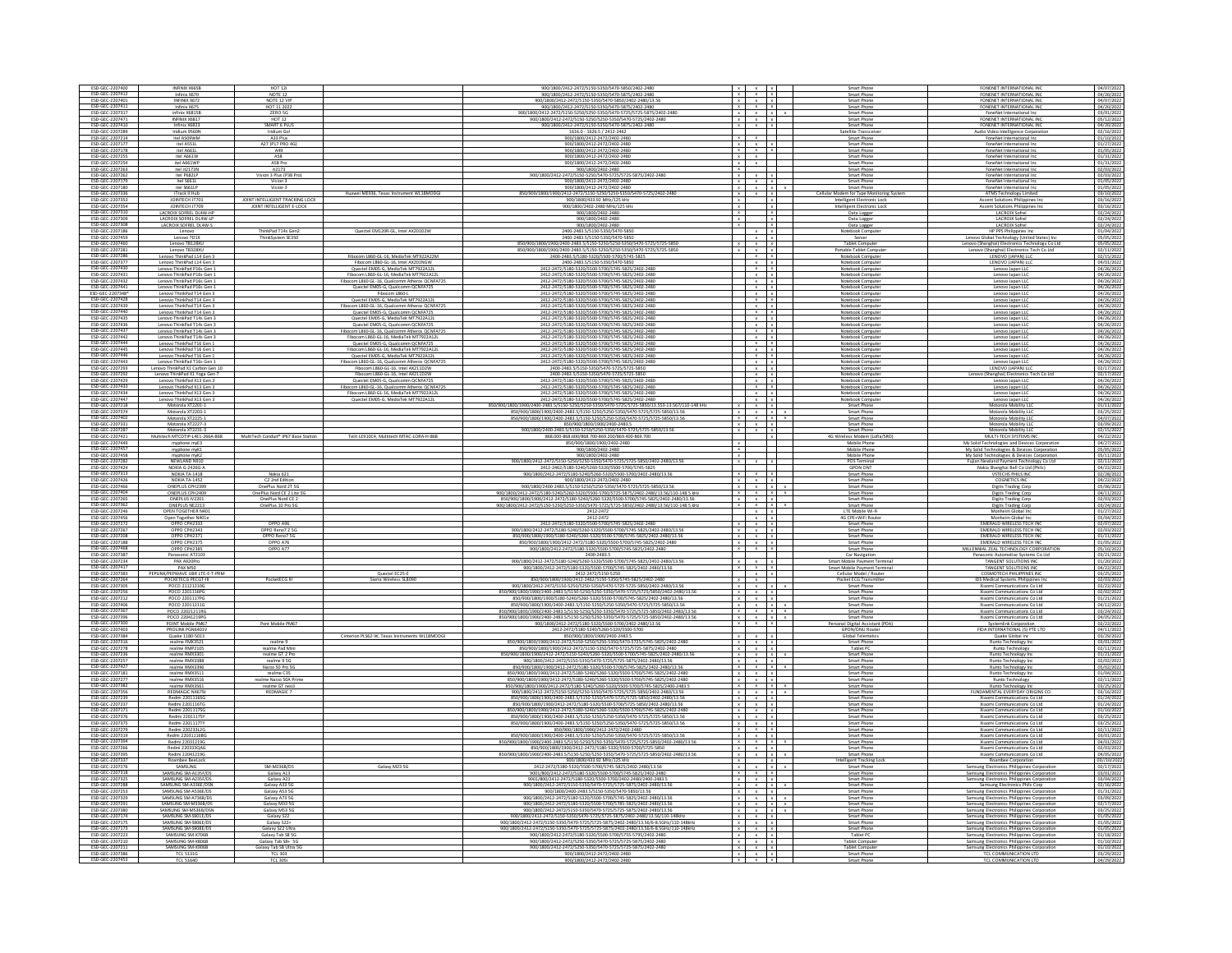| ESD-GEC-2207400                                                          | INFINIX X665B                                            | <b>HOT 12i</b>                                 |                                                                                      | 900/1800/2412-2472/5150-5350/5470-5850/2402-2480                                                                                                                                                                                                                                              |                                         |                                                                                                                                |              | Smart Phone                                              | FONENET INTERNATIONAL INC                                                                    | 04/07/2022                               |
|--------------------------------------------------------------------------|----------------------------------------------------------|------------------------------------------------|--------------------------------------------------------------------------------------|-----------------------------------------------------------------------------------------------------------------------------------------------------------------------------------------------------------------------------------------------------------------------------------------------|-----------------------------------------|--------------------------------------------------------------------------------------------------------------------------------|--------------|----------------------------------------------------------|----------------------------------------------------------------------------------------------|------------------------------------------|
|                                                                          | Infinix X670                                             | NOTE 12                                        |                                                                                      | 900/1800/2412-2472/5150-5350/5470-5875/2402-2480                                                                                                                                                                                                                                              |                                         | $x$ $x$ $x$                                                                                                                    |              | Smart Phone                                              | FONENET INTERNATIONAL IN                                                                     | 04/20/2022                               |
| ESD-GEC-2207412<br>ESD-GEC-2207401                                       | INFINIX X672                                             | NOTE 12 VIP                                    |                                                                                      | 900/1800/2412-2472/5150-5350/5470-5850/2402-2480/13.56                                                                                                                                                                                                                                        |                                         |                                                                                                                                |              | Smart Phone                                              | FONENET INTERNATIONAL INC                                                                    | 04/07/2022                               |
| ESD-GEC-2207411<br>ESD-GEC-2207317                                       | Infinix X675<br>infinix X6815E                           | HOT 11 2022<br>ZERO 5G                         |                                                                                      | 900/1800/2412-2472/5150-5350/5470-5875/2402-2480<br>900/1800/2412-2472/5150-5250/5250-5350/5470-5725/5725-5875/2402-248                                                                                                                                                                       |                                         | $\begin{array}{c cc}\nx & x & x \\ x & x & x\n\end{array}$                                                                     |              | Smart Phone<br>Smart Phone                               | FONENET INTERNATIONAL INC.<br>FoneNet International Inc                                      | 04/20/202<br>03/01/202                   |
| ESD-GEC-2207471                                                          | INFINIX X6817                                            | <b>HOT 12</b>                                  |                                                                                      | 900/1800/2412-2472/5150-5250/5250-5350/5470-5725/2402-2480                                                                                                                                                                                                                                    |                                         | $x - x - x$                                                                                                                    |              | Smart Phone                                              | FONENET INTERNATIONAL INC                                                                    | 05/12/2022                               |
| ESD-GEC-2207410<br>ESD-GEC-2207289                                       | Infinix X6823                                            | SMART 6 PLUS                                   |                                                                                      | 900/1800/2412-2472/5150-5350/5470-5875/2402-2480                                                                                                                                                                                                                                              |                                         | $x - x - x$                                                                                                                    |              | Smart Phone                                              | FONENET INTERNATIONAL IN                                                                     | 04/20/202                                |
| ESD-GEC-2207214                                                          | Iridium 9560N<br>itel AS09WM                             | Iridium Go<br>A33 Plus                         |                                                                                      | 1616.0 - 1626.5 / 2412-2462<br>900/1800/2412-2472/2402-2480                                                                                                                                                                                                                                   |                                         | $\mathbf{x}$                                                                                                                   |              | atellite Transceivi<br>Smart Phone                       | udio Video Intelligence Corporatio<br>FoneNet International Inc                              | 02/16/2022                               |
|                                                                          | itel ASS1L                                               | (P17 PRO 4                                     |                                                                                      |                                                                                                                                                                                                                                                                                               |                                         | $\mathbf{x}$                                                                                                                   |              | Smart Phon                                               |                                                                                              | $01/10/202$<br>$01/27/202$               |
| ESD-GEC-2207178                                                          | itel A661L                                               | A49                                            |                                                                                      | 900/1800/2412-2472/2402-2480                                                                                                                                                                                                                                                                  |                                         | $x \rightarrow x \rightarrow x$                                                                                                |              | Smart Phone                                              | FoneNet International Inc                                                                    | 01/05/2022                               |
| ESD-GEC-2207255<br>ESD-GEC-2207254                                       | itel A661W<br>itel A661WP                                | AS8<br>AS8 Pro                                 |                                                                                      | 900/1800/2412-2472/2402-248<br>900/1800/2412-2472/2402-2480                                                                                                                                                                                                                                   |                                         | $x - x$<br>$x \mid x$                                                                                                          |              | Smart Phone<br>Smart Phone                               | FoneNet International Inc.<br>FoneNet International Inc                                      | 01/31/2022<br>01/31/202                  |
| ESD-GEC-2207263                                                          | itel it2173N                                             | it2173                                         |                                                                                      | 900/1800/2402-2480                                                                                                                                                                                                                                                                            |                                         |                                                                                                                                |              | Smart Phone                                              | FoneNet International Inc                                                                    | 02/03/202                                |
| ESD-GEC-2207262                                                          | itel P682LI                                              | Vision 3 Plus (P38 Pro)                        |                                                                                      | 900/1800/2412-2472/5150-5250/5470-5725/5725-5875/2402-2480                                                                                                                                                                                                                                    |                                         | $x \times x$                                                                                                                   |              | Smart Phon                                               |                                                                                              | 02/03/202                                |
| ESD-GEC-2207179<br>ESD-GEC-2207180                                       | itel S661L<br>itel S661LP                                | Vision 3<br>Vision:                            |                                                                                      | 900/1800/2412-2472/2402-2480<br>900/1800/2412-2472/2402-2480                                                                                                                                                                                                                                  |                                         | $x - x - x$<br>$x \mid x$                                                                                                      |              | Smart Phone                                              | FoneNet International Inc<br>FoneNet International Inc                                       | 01/05/2022                               |
| ESD-GEC-2207336                                                          | iTrack II Hub                                            |                                                |                                                                                      | 150/900/1800/1900/2412-2472/5150-5250/5250-5350/54                                                                                                                                                                                                                                            |                                         |                                                                                                                                |              | Cellular Modem for Type Monitoring Sys                   | ATMS Technology Limited                                                                      | 03/10/202                                |
| ESD-GEC-2207353                                                          | JOINTECH JT70                                            | JOINT INTELLIGENT TRACKING LOCK                |                                                                                      | 900/1800/433.92 MHz/125 kH                                                                                                                                                                                                                                                                    |                                         |                                                                                                                                |              | Intelligent Electronic Loc                               | Ascent Solutions Philippines Inc                                                             | 03/16/202                                |
| ESD-GEC-2207354                                                          | JOINTECH JT709                                           | JOINT INTELLIGENT E-LOCK                       |                                                                                      | 900/1800/2402-2480 MHz/125 kHz                                                                                                                                                                                                                                                                |                                         |                                                                                                                                |              | Intelligent Electronic Lock                              | Ascent Solutions Philippines Inc                                                             | 03/16/202                                |
| ESD-GEC-2207310<br>ESD-GEC-2207309                                       | LACROIX SOFREL DL4W-HF<br>LACROIX SOFREL DL4W-LP         |                                                |                                                                                      | 900/1800/2402-2480<br>900/1800/2402-2480                                                                                                                                                                                                                                                      | $\overline{\mathbf{x}}$<br>$\mathbf{x}$ | $\mathbf{r}$                                                                                                                   |              | Data Logger<br>Data Logger                               | LACROIX Sofrel<br><b>LACROIX Sofrel</b>                                                      | 02/24/2022<br>02/24/202                  |
| ESD-GEC-2207308                                                          | LACROIX SOFREL DL4W-S                                    |                                                |                                                                                      | 900/1800/2402-2480                                                                                                                                                                                                                                                                            |                                         |                                                                                                                                |              | Data Logger                                              | LACROIX Sofrel                                                                               | 02/24/202                                |
| ESD-GEC-2207186                                                          | Lenovo                                                   | ThinkPad T14s Gen2                             | Quectel EM120R-GL, Intel AX201D2W                                                    | 2400-2483.5/5150-5350/5470-585                                                                                                                                                                                                                                                                |                                         | $\frac{x}{x}$                                                                                                                  |              | Notebook Compute                                         | HP PPS Philippines In                                                                        | 01/04/202                                |
| ESD-GEC-2207459<br>ESD-GEC-2207460                                       | Lenovo 7D1X                                              | ThinkSystem SE350                              |                                                                                      | 2400-2483.5/5150-5350/5470-5850                                                                                                                                                                                                                                                               |                                         | $x + x$                                                                                                                        |              | Server                                                   | Lenovo Global Technology (United States) Inc                                                 | 05/05/202                                |
| ESD-GEC-2207281                                                          | Lenovo TB128XU<br>Lenovo TB328XU                         |                                                |                                                                                      | 850/900/1800/1900/2400-2483.5/5150-5250/5250-5350/5470-5725/5725-585<br>850/900/1800/1900/2400-2483.5/5150-5250/5250-5350/5470-5725/5725-585                                                                                                                                                  |                                         | $x \times x$<br>$x \mid x \mid x$                                                                                              |              | <b>Tablet Computer</b><br>Portable Tablet Compute        | Lenovo (Shanghai) Electronics Technology Co Ltd<br>Lenovo (Shanghai) Electronics Tech Co Ltd | 05/05/202<br>02/11/202                   |
| ESD-GEC-2207286<br>ESD-GEC-2207377                                       | Lenovo ThinkPad L14 Gen                                  |                                                | Fibocom L860-GL-16, MediaTek MT922A22M                                               | 2400-2483.5/5180-5320/5500-5700/5745-5825                                                                                                                                                                                                                                                     |                                         | $x$ x                                                                                                                          |              | Notebook Comput                                          | LENOVO (JAPAN) LLO                                                                           | 02/15/2022                               |
|                                                                          | Lenovo ThinkPad L14 Gen 3                                |                                                | Fibocom L860-GL-16, Intel AX201NGW                                                   | 2400-2483.5/5150-5350/5470-5850                                                                                                                                                                                                                                                               |                                         |                                                                                                                                |              | Notebook Computer                                        | LENOVO (JAPAN) LLC                                                                           | 04/01/2022                               |
| ESD-GEC-2207430                                                          | Lenovo ThinkPad P16s Gen:<br>Lenovo T                    |                                                | Quectel EM05-G, MediaTek MT7922A12L<br>com L860-GL-16, MediaTek MT7922A              | 2412-2472/5180-5320/5500-5700/5745-5825/2402-2480<br>2412-2472/5180-5320/5500-5700/5745-5825/2402-248                                                                                                                                                                                         |                                         | $x + x$<br>$x - x$                                                                                                             |              | Notebook Compute<br>Notebook Compute                     | Lenovo Japan LLC<br>Lenovo Japan LL                                                          | 04/26/2022                               |
| ESD-GEC-2207431<br>ESD-GEC-2207432                                       | Lenovo ThinkPad P16s Gen 1                               |                                                | Fibocom L860-GL-16, Qualcomm Atheros QCNFA72                                         | 2412-2472/5180-5320/5500-5700/5745-5825/2402-2480                                                                                                                                                                                                                                             |                                         | $x \mid x$                                                                                                                     |              | Notebook Compute                                         | Lenovo Japan LLC                                                                             | 04/26/2022                               |
| ESD-GEC-2207441<br>ESD-GEC-2207348*                                      | Lenovo ThinkPad P16s Gen 1                               |                                                | Quectel EM05-G, Qualcomm QCNFA725                                                    | 2412-2472/5180-5320/5500-5700/5745-5825/2402-2480                                                                                                                                                                                                                                             |                                         | $x$ x                                                                                                                          |              | Notebook Compute                                         | Lenovo Japan LLC                                                                             | 04/26/2022                               |
| ESD-GEC-2207428                                                          | Lenovo ThinkPad T14 Gen 3                                |                                                | Fibocom L860-L                                                                       | 2412-2472/5180-5320/5500-5700/5745-5825/2402-2480                                                                                                                                                                                                                                             |                                         |                                                                                                                                |              | Notebook Computer                                        | Lenovo Japan LLC                                                                             |                                          |
| ESD-GEC-2207439                                                          | Lenovo ThinkPad T14 Gen 3<br>Lenovo ThinkPad T14 Gen 3   |                                                | Quectel EM05-G. MediaTek MT7922A12L<br>Fibocom L860-GL-16, Qualcomm Atheros QCNFA725 | 2412-2472/5180-5320/5500-5700/5745-5825/2402-248<br>2412-2472/5180-5320/5500-5700/5745-5825/2402-248                                                                                                                                                                                          |                                         | $x \mid x$<br>$x \mid x$                                                                                                       |              | Notebook Compute<br>Notebook Compute                     | Lenovo Japan LLC<br>Lenovo Japan LLC                                                         | 04/26/202<br>04/26/202                   |
| ESD-GEC-2207440                                                          | Lenovo ThinkPad T14 Gen 3                                |                                                | Quectel EM05-G, Qualcomm QCNFA725                                                    | 2412-2472/5180-5320/5500-5700/5745-5825/2402-248                                                                                                                                                                                                                                              |                                         | $x - x$                                                                                                                        |              | Notebook Compute                                         | Lenovo Japan LLC                                                                             | 04/26/202                                |
| ESD-GEC-2207435                                                          | Lenovo ThinkPad T14s Gen 3                               |                                                | Quectel EM05-G, MediaTek MT7922A12L                                                  | 2412-2472/5180-5320/5500-5700/5745-5825/2402-2480                                                                                                                                                                                                                                             |                                         | $x \mid x$                                                                                                                     |              | Notebook Compute                                         | Lenovo Japan LLC                                                                             | 04/26/2022                               |
| ESD-GEC-2207436                                                          | Lenovo ThinkPad T14s Gen 3<br>Lenovo ThinkPad T14s Gen 3 |                                                | Quectel EM05-G, Qualcomm QCNFA725<br>Fibocom L860-GL-16, Qualcomm Atheros QCNFA725   | 2412-2472/5180-5320/5500-5700/5745-5825/2402-2480<br>2412-2472/5180-5320/5500-5700/5745-5825/2402-248                                                                                                                                                                                         |                                         | $x$ x<br>$x \mid x$                                                                                                            |              | Notebook Computer<br>Notebook Compute                    | Lenovo Japan LLC<br>Lenovo Japan LLC                                                         | 04/26/202                                |
| ESD-GEC-2207437<br>ESD-GEC-2207442                                       | Lenovo ThinkPad T14s Gen:                                |                                                | Fibocom L860-GL-16, MediaTek MT7922A12                                               | 2412-2472/5180-5320/5500-5700/5745-5825/2402-248                                                                                                                                                                                                                                              |                                         | $x + x$                                                                                                                        |              | Notebook Compute                                         | Lenovo Japan LL                                                                              | 04/26/202                                |
| ESD-GEC-2207444                                                          | Lenovo ThinkPad T16 Gen 1                                |                                                | Quectel EM05-G, Qualcomm QCNFA725                                                    | 2412-2472/5180-5320/5500-5700/5745-5825/2402-2480                                                                                                                                                                                                                                             |                                         | $x \cdot x$                                                                                                                    |              | Notebook Computer                                        | Lenovo Japan LLC                                                                             | 04/26/2022                               |
| ESD-GEC-2207445<br>ESD-GEC-2207446                                       | Lenovo ThinkPad T16 Gen 1                                |                                                | Fibocom L860-GL-16. MediaTek MT7922A12L                                              | 2412-2472/5180-5320/5500-5700/5745-5825/2402-2480                                                                                                                                                                                                                                             |                                         | $x \rightarrow x$                                                                                                              |              | Notebook Compute                                         | Lenovo Japan LLC                                                                             | 04/26/202                                |
| ESD-GEC-2207443                                                          | Lenovo ThinkPad T16 Gen 1<br>Lenovo ThinkPad T16s Gen 1  |                                                | Quectel EM05-G, MediaTek MT7922A12L<br>Fibocom L860-GL-16, Qualcomm Atheros QCNFA725 | 2412-2472/5180-5320/5500-5700/5745-5825/2402-248<br>2412-2472/5180-5320/5500-5700/5745-5825/2402-2480                                                                                                                                                                                         |                                         | $\begin{array}{c} x \\ x \end{array}$                                                                                          |              | Notebook Compute<br>Notebook Computer                    | Lenovo Japan LLC<br>Lenovo Japan LLC                                                         | 04/26/202<br>04/26/2022                  |
| ESD-GEC-2207293<br>ESD-GEC-2207292                                       |                                                          |                                                | .com L860-GL-16, Intel AX211D2W<br>.com L860-GL-16, Intel AX211D2W                   | 2400-2483.5/5150-5350/5470-5725/5725-58<br>2400-2483.5/5150-5350/5470-5725/5725-58                                                                                                                                                                                                            |                                         | $x - x$                                                                                                                        |              |                                                          | LENOVO (JAPAN) LL                                                                            | $\frac{02/17/20}{02/17/20}$              |
|                                                                          | 11 Yoga G                                                |                                                |                                                                                      |                                                                                                                                                                                                                                                                                               |                                         |                                                                                                                                |              | k Comput                                                 | hanghai) Electronic                                                                          |                                          |
| ESD-GEC-2207429                                                          | Lenovo ThinkPad X13 Gen 3                                |                                                | Quectel EM05-G. Qualcomm QCNFA725<br>ros QCNFA725                                    | 2412-2472/5180-5320/5500-5700/5745-5825/2402-2480                                                                                                                                                                                                                                             |                                         | $x - x$                                                                                                                        |              | Notebook Compute                                         | Lenovo Japan LLC                                                                             | 04/26/2022                               |
| ESD-GEC-2207433<br>ESD-GEC-2207434                                       | Lenovo ThinkPad X13 Gen 3                                |                                                | Fibocom L860-GL-16, MediaTek MT7922A12L                                              | 2412-2472/5180-5320/5500-5700/5745-5825/2402-2480                                                                                                                                                                                                                                             |                                         | $\begin{array}{c c}\n & x & x \\ \hline\n & x & x\n\end{array}$                                                                |              | Notebook Computer                                        | Lenovo Japan LLC                                                                             | 04/26/2022                               |
| ESD-GEC-2207447                                                          | Lenovo ThinkPad X13 Gen 3                                |                                                | Quectel EM05-G, MediaTek MT7922A12                                                   | 2412-2472/5180-5320/5500-5700/5745-5825/2402-2480                                                                                                                                                                                                                                             |                                         | $x + x$                                                                                                                        |              | Notebook Compute                                         |                                                                                              |                                          |
| ESD-GEC-2207218<br>ESD-GEC-2207374                                       |                                                          |                                                |                                                                                      | 850/900/1800/1900/2400-2483.5/5150-5250/5250-5350/5470-5725/5725-5850/13.553-13.567/110-148 kH                                                                                                                                                                                                |                                         | $x - x$                                                                                                                        |              | Smart Phone                                              | Lenovo Japan LLC<br>Motorola Mobility LLC                                                    | 04/26/2022                               |
|                                                                          | Motorola XT2203-1                                        |                                                |                                                                                      | 850/900/1800/1900/2400-2483.5/5150-5250/5250-5350/5470-5725/5725-5850/13.56                                                                                                                                                                                                                   | $\times$                                | $x \mid x$                                                                                                                     |              | Smart Phone                                              | Motorola Mobility LLC                                                                        | 03/25/202                                |
| ESD-GEC-2207402<br>ESD-GEC-2207331                                       | Motorola XT2225-1<br>Motorola XT2227-3                   |                                                |                                                                                      | 850/900/1800/1900/2400-2483.5/5150-5250/5250-5350/5470-5725/5725-5850/13.56<br>850/900/1800/1900/2400-2483.5                                                                                                                                                                                  |                                         | $\begin{array}{ccccc} & \mathbf{x} & & \mathbf{x} & & \mathbf{x} \\ & \mathbf{x} & & \mathbf{x} & & \mathbf{x} \\ \end{array}$ |              | Smart Phone<br>Smart Phone                               | Motorola Mobility LD<br>Motorola Mobility LLC                                                | 04/07/2022                               |
| ESD-GEC-2207287                                                          | Motorola XT2231-3                                        |                                                |                                                                                      | 900/1800/2400-2483.5/5150-5250/5250-5350/5470-5725/5725-5850/13.56                                                                                                                                                                                                                            |                                         |                                                                                                                                |              | Smart Phone                                              | Motorola Mobility LL                                                                         | 02/15/202                                |
| ESD-GEC-2207421                                                          | Multitech MTCDTIP-L4E1-266A-868                          | MultiTech Conduit® IP67 Base Statio            | Telit LE910C4, Multitech MTAC-LORA-H-868                                             | 868.000-868.600/868.700-869.200/869.400-869.700                                                                                                                                                                                                                                               |                                         |                                                                                                                                |              | 4G Wireless Modern (LoRa/SR                              | MULTI-TECH SYSTEMS IN                                                                        | 04/22/2022                               |
| ESD-GEC-2207449                                                          | myphone myE3                                             |                                                |                                                                                      | 850/900/1800/1900/2402-2480<br>900/1800/2402-2480                                                                                                                                                                                                                                             | $\overline{X}$                          |                                                                                                                                |              | Mobile Phone<br>Mobile Phone                             | My Solid Technologies and Devices Corporati                                                  | 04/27/202                                |
| ESD-GEC-2207457<br>ESD-GEC-2207458                                       | myphone myK1<br>myphone myK2                             |                                                |                                                                                      | 900/1800/2402-2480                                                                                                                                                                                                                                                                            | $\frac{x}{x}$                           |                                                                                                                                |              | Mobile Phone                                             | My Solid Technologies & Devices Corporation<br>My Solid Technologies & Devices Corporation   | 05/05/2022                               |
| ESD-GEC-2207282                                                          | NEWLAND N910                                             |                                                |                                                                                      | 900/1800/2412-2472/5150-5250/5250-5350/5470-5725/5725-5850/2402-2480/13.56                                                                                                                                                                                                                    | $\mathbf{x}$                            | $x + x$                                                                                                                        |              | POS Terminal                                             | Fujian Newland Payment Technology Co Ltd                                                     | 02/11/202                                |
| ESD-GEC-2207424                                                          | NOKIA G-2426G-                                           |                                                |                                                                                      | 2412-2462/5180-5240/5260-5320/5500-5700/5745-5825                                                                                                                                                                                                                                             |                                         | $x - x - x$                                                                                                                    |              | <b>GPON ONT</b>                                          | Nokia Shanghai Bell Co Ltd (Phils                                                            | 04/22/202                                |
| ESD-GEC-2207313<br>ESD-GEC-2207426                                       | NOKIA TA-1418<br>NOKIA TA-1452                           | Nokia 621<br>C2 2nd Edition                    |                                                                                      | 900/1800/2412-2472/5180-5240/5260-5320/5500-5700/2402-2480/13.5<br>900/1800/2412-2472/2402-2480                                                                                                                                                                                               |                                         | $x \mid x$                                                                                                                     |              | Smart Phone<br>Smart Phone                               | VSTECHS PHILS INC<br><b>COGNETICS INC</b>                                                    | 02/28/2022<br>04/22/202                  |
| ESD-GEC-2207466                                                          | <b>ONEPLUS CPH2399</b>                                   | OnePlus Nord 2T 5G                             |                                                                                      | 900/1800/2400-2483.5/5150-5250/5250-5350/5470-5725/5725-5850/13.56                                                                                                                                                                                                                            |                                         | $x$ $x$ $x$                                                                                                                    |              | Smart Phone                                              | Digits Trading Corp                                                                          | 05/06/2022                               |
| ESD-GEC-2207404                                                          | ONEPLUS CPH2409                                          | OnePlus Nord CE 2 Lite SG                      |                                                                                      | 900/1800/2412-2472/5180-5240/5260-5320/5500-5700/5725-5875/2402-2480/13.56/110-148.5 kHz                                                                                                                                                                                                      |                                         |                                                                                                                                |              | Smart Phone                                              | Digits Trading Corp.                                                                         | 04/11/2022                               |
| ESD-GEC-2207265                                                          | ONEPLUS IV22<br>ONEPLUS NE2213                           | OnePlus Nord CE 2                              |                                                                                      | 850/900/1800/1900/2412-2472/5180-5240/5260-5320/5500-5700/5745-5825/2402-2480/13.56                                                                                                                                                                                                           |                                         | $\mathbf{x}$ $ \mathbf{x}$ $ \mathbf{x}$                                                                                       |              | Smart Phone                                              | Digits Trading Cor                                                                           |                                          |
| ESD-GEC-2207362<br>ESD-GEC-2207246                                       |                                                          |                                                |                                                                                      |                                                                                                                                                                                                                                                                                               |                                         |                                                                                                                                |              | Smart Phone                                              |                                                                                              |                                          |
|                                                                          |                                                          | OnePlus 10 Pro SG                              |                                                                                      | 900/1800/2412-2472/5150-5250/5250-5350/5470-5725/5725-5850/2402-2480/13.56/110-148.5 kHz                                                                                                                                                                                                      | $x - x - x$                             |                                                                                                                                |              |                                                          | Digits Trading Corp.                                                                         | 03/24/202                                |
| ESD-GEC-2207456                                                          | OPEN TOGETHER N40<br>Open Together N40                   |                                                |                                                                                      | 2412-2472<br>2412-2472                                                                                                                                                                                                                                                                        |                                         | $x \mid x$                                                                                                                     |              | LTE Mobile Wi-Fi<br>4G CPE+WiFi Rou                      | Monheim Global Inc<br>Mont                                                                   | 01/27/202                                |
| ESD-GEC-2207272                                                          | OPPO CPH2333                                             | OPPO A96                                       |                                                                                      | 2412-2472/5180-5320/5500-5700/5745-5825/2402-2480                                                                                                                                                                                                                                             |                                         | $x \cdot x = x$                                                                                                                |              | Smart Phone                                              | EMERALD WIRELESS TECH INC                                                                    | 05/04/202<br>02/07/2022                  |
| ESD-GEC-2207267                                                          |                                                          |                                                |                                                                                      |                                                                                                                                                                                                                                                                                               |                                         | $x \mid x \mid x$                                                                                                              |              |                                                          | <b>EMERALD WIRELESS TECH INC</b>                                                             |                                          |
| ESD-GEC-2207208<br>ESD-GEC-2207188                                       | OPPO CPH2343<br>OPPO CPH2375                             | OPPO Reno7 Z 5G<br>OPPO Reno7 5G<br>OPPO A76   |                                                                                      | $\frac{900/1800/2412\cdot2472/5180\cdot5240/5260\cdot5320/5500\cdot5700/5745\cdot5825/2402\cdot2480/13.56}{850/900/1800/1900/5180\cdot5240/5260\cdot5320/5500\cdot5700/5745\cdot5825/2402\cdot2480/13.56}$<br>850/900/1800/1900/2412-2472/5180-5320/5500-5700/5745-5825/2402-2480             |                                         | $\mathbf{x}=\mathbf{x}=\mathbf{x}$<br>$x + x + x$                                                                              |              | Smart Phone<br>Smart Phone<br>Smart Phone                | EMERALD WIRELESS TECH IN<br><b>EMERALD WIRELESS TECH INC</b>                                 | $02/03/202$<br>$01/11/202$<br>01/05/202  |
| FSD-GFC-2207468                                                          | OPPO CPH2385                                             | OPPO A77                                       |                                                                                      |                                                                                                                                                                                                                                                                                               |                                         | $x - x$                                                                                                                        |              | Smart Phone                                              |                                                                                              | 05/10/202                                |
| ESD-GEC-2207387                                                          | Panasonic AT2103                                         |                                                |                                                                                      | 900/1800/2412-2472/5180-5320/5500-5700/5745-5825/2402-2480<br>2400-2483.5                                                                                                                                                                                                                     |                                         |                                                                                                                                |              | Car Navigation                                           | MILLENNIAL ZEAL TECHNOLOGY CORPORATIO<br>Panasonic Automotive Systems Co Ltd                 | 03/21/202                                |
|                                                                          | PAX A920Pro                                              |                                                |                                                                                      |                                                                                                                                                                                                                                                                                               |                                         | $x - x - x$                                                                                                                    |              | Smart Mobile Payment Termi                               | <b>TANGENT SOLUTIONS INC</b>                                                                 | 01/20/202                                |
| ESD-GEC-2207234<br>ESD-GEC-2207417<br>ESD-GEC-2207383                    | PAX M50<br>PEPLINK/PEPWAVE UBR LTE-E-T-PRM               |                                                | Quectel EC25-E                                                                       | $\frac{900/1800/2412\cdot 2472/5180\cdot 5240/5260\cdot 5320/5500\cdot 5700/5745\cdot 5825/2402\cdot 2480/13.56}{900/1800/2412\cdot 2472/5180\cdot 5320/5500\cdot 5700/5745\cdot 5825/2402\cdot 2480/13.56}$<br>2412-2472/5150-5250                                                           |                                         | $x \cdot x$                                                                                                                    |              | Smart Mobile Payment Termina<br>Cellular Model / Router  | TANGENT SOLUTIONS INC<br><b>COSMOTECH PHILIPPINES INC</b>                                    | 04/22/202<br>03/25/2022                  |
|                                                                          | POCKETECG PECGT-III                                      | PocketECG III                                  | ierra Wireless SL8090                                                                | 850/900/1800/1900/2412-2462/5150-5350/5745-5825/2402-2480                                                                                                                                                                                                                                     |                                         |                                                                                                                                |              | Pocket ECG Tran                                          | <b>IDS Medical Systems Philippines</b>                                                       | 02/03/202                                |
| ESD-GEC-2207264<br>ESD-GEC-2207305                                       | POCO 21121210G                                           |                                                |                                                                                      | 900/1800/2412-2472/5150-5250/5250-5350/5470-5725-5725-5850/2402-2480/13.56                                                                                                                                                                                                                    |                                         | $\begin{array}{ccccc} & x & & x \\ & x & & x \\ \end{array}$                                                                   |              | Smart Phone                                              | Xiaomi Communications Co Ltd.                                                                | 02/22/2022                               |
| ESD-GEC-2207256                                                          | POCO 2201116PG<br>POCO 2201117PO                         |                                                |                                                                                      | 850/900/1800/1900/2400-2483.5/5150-5250/5250-5350/5470-5725/5725/5850/2402-2480/13.56<br>850/900/1800/1900/5180-5240/5260-5320/5500-5700/5745-5825/2402-2480/13.5                                                                                                                             |                                         | $x - x - x$                                                                                                                    |              | Smart Phone<br>Smart Phon                                | Xiaomi Communications Co Ltd<br>Xiaomi Communications Co Ltd                                 | 02/02/202                                |
| ESD-GEC-2207212<br>ESD-GEC-2207406                                       | POCO 22011211G                                           |                                                |                                                                                      | 850/900/1800/1900/2400-2483.5/5150-5250/5250-5350/5470-5725/5725-5850/13.56                                                                                                                                                                                                                   |                                         | $x \times x$<br>$x - x$                                                                                                        |              | Smart Phone                                              | Xiaomi Communications Co Ltd                                                                 | 01/21/202<br>04/12/2022                  |
| ESD-GEC-2207367                                                          |                                                          |                                                |                                                                                      |                                                                                                                                                                                                                                                                                               |                                         | $x \times x \times x$                                                                                                          |              |                                                          | Xiaomi Communications Co Ltd.                                                                |                                          |
| ESD-GEC-2207396<br>ESD-GEC-2207300                                       | POCO 22021211RG<br>POCO 22041219PG<br>POINT Mobile PM67  | Pont Mobile PM67                               |                                                                                      | 850/900/1800/1900/2400-2483.5/5150-5250/5250-5350/5470-5725/5725-5850/2402-2483/13.56<br>850/900/1800/1900/2400-2483.5/5150-5250/5250-5350/5470-5725/5725-5850/2402-2480/13.56<br>900/1800/2412-2472/5180-5320/5500-5700/2402-2480/13.56                                                      |                                         | $x \times x \times x$<br>$x + x$                                                                                               |              | Smart Phone<br>Smart Phone<br>onal Digital Assistant (PI | Xiaomi Communications Co Ltd<br>Systemlink Corporati                                         | 03/24/2022<br>02/22/202                  |
| ESD-GEC-2207403                                                          |                                                          |                                                |                                                                                      | 2412-2472/5180-5240/5260-5320/5500-5700                                                                                                                                                                                                                                                       |                                         |                                                                                                                                |              | GPON/ONU Router                                          | FIDA INTERNATIONAL (S) PTE LTD                                                               | 04/11/202                                |
| ESD-GEC-2207384                                                          | PROLINK PGN6401                                          |                                                | Cinterion PLS62-W, Texas Instruments WL18MODGI                                       | 850/900/1800/1900/2400-2483.5                                                                                                                                                                                                                                                                 |                                         | $x - x - x$                                                                                                                    |              | Global Telematics                                        | Quake Global Inc                                                                             | 03/29/202                                |
| ESD-GEC-2207316                                                          |                                                          |                                                |                                                                                      |                                                                                                                                                                                                                                                                                               |                                         | $x - x - x$                                                                                                                    |              |                                                          | Runto Technology In                                                                          |                                          |
| ESD-GEC-2207278<br>ESD-GEC-2207236                                       | realme FMX3521<br>realme RMP2105<br>realme RMX3301       | realme 9<br>realme Pad Mini<br>realme GT 2 Pro |                                                                                      | $\frac{850/900/1800/1900/2412\cdot2472/5150\cdot5250/5250\cdot5350/5470\cdot5725/5745\cdot5825/2402\cdot2480}{850/900/1800/1900/2412\cdot2472/5150\cdot5350/5470\cdot5725/5725\cdot5875/2402\cdot2480}$<br>850/900/1800/1900/2412-2472/5150-5240/5260-5320/5500-5700/5745-5825/2402-2480/13.5 |                                         | $x \times x$<br>$x \mid x \mid x$                                                                                              |              | Smart Phone<br>Tablet PC<br>Smart Phone                  | Runto Technology<br>Runto Technology Inc                                                     | 03/01/202<br>02/11/202<br>01/21/202      |
| ESD-GEC-2207257                                                          | realme RMX3388                                           | realme 9 5G                                    |                                                                                      | 900/1800/2412-2472/5150-5350/5470-5725/5725-5875/2402-2480/13.56                                                                                                                                                                                                                              |                                         |                                                                                                                                |              | Smart Phone                                              | Runto Technology Inc.                                                                        | 02/02/2022                               |
| ESD-GEC-2207427                                                          | realme RMX3396<br>realme RMX3511                         | Narzo 50 Pro 5G<br>realme C3                   |                                                                                      | 850/900/1800/1900/2412-2472/5180-5320/5500-5700/5745-5825/2402-2480/13.56                                                                                                                                                                                                                     |                                         | $\begin{array}{c cc}\nx & x & x \\ x & x & x\n\end{array}$                                                                     |              | Smart Phone                                              | Runto Technology Inc.<br><b>Runto Technology Inc.</b>                                        | 05/02/2022                               |
| ESD-GEC-2207181<br>ESD-GEC-2207277                                       |                                                          | ealme Narzo 50A Pr                             |                                                                                      | 850/900/1800/1900/2412-2472/5180-5240/5260-5320/5500-5700/5745-5825/2402-248<br>850/900/1800/1900/2412-2472/5180-5240/5260-5320/5500-5700/5745-5825/2402-2480                                                                                                                                 |                                         | x x x                                                                                                                          |              | Smart Phone<br>Smart Phon                                |                                                                                              | 01/04/202                                |
| ESD-GEC-2207382                                                          | realme RMX3516<br>realme RMX3561                         | realme GT neo3                                 |                                                                                      | 850/900/1800/1900/2412-2472/5180-5240/5260-5320/5500-5700/5745-5825/2400-2483.5                                                                                                                                                                                                               |                                         | $\begin{array}{c c}\n\cdot & \cdot & \cdot & \cdot \\ \hline\nx & x & x \\ \hline\n\end{array}$                                |              | Smart Phone                                              | Runto Technology<br>Runto Technology Inc                                                     | 02/11/202<br>03/25/2022                  |
|                                                                          |                                                          | <b>REDMAGIC 7</b>                              |                                                                                      |                                                                                                                                                                                                                                                                                               |                                         |                                                                                                                                |              |                                                          | FUNDAMENTAL EVERYDAY ORIGINS CO.                                                             |                                          |
| ESD-GEC-2207356<br>ESD-GEC-2207239<br>ESD-GEC-2207237                    | REDMAGIC NX679<br>Redmi 2201116TG                        |                                                |                                                                                      | 900/1800/2412-2472/5150-5250/5250-5350/5470-5725/5725-5850/2402-2480/13.56<br>850/900/1800/1900/2400-2483.5/5150-5250/5470-5725/5725-5850/2402-2480/13.5<br>850/900/1800/1900/2412-2472/5180-5320/5500-5700/5725-5850/2402-2480/13.56                                                         |                                         | $\begin{array}{c cc} x & x & x \\ x & x & x \end{array}$                                                                       |              | Smart Phone<br>Smart Phone                               | Xiaomi Communications Co Ltd                                                                 | 03/16/202<br>01/24/202                   |
|                                                                          | Redmi 2201117S0                                          |                                                |                                                                                      | 850/900/1800/1900/2412-2472/5180-5240/5260-5320/5500-5700/5745-5825/2402-2480                                                                                                                                                                                                                 |                                         |                                                                                                                                |              | Smart Phon                                               | Xiaomi Communications Co Ltd                                                                 |                                          |
| ESD-GEC-2207171<br>ESD-GEC-2207376                                       | Redmi 2201117SY                                          |                                                |                                                                                      | 850/900/1800/1900/2400-2483.5/5150-5250/5250-5350/5470-5725/5725-5850/13.56                                                                                                                                                                                                                   |                                         | $\begin{array}{ccccc}\nx & x & x \\ x & x & x\n\end{array}$<br>$x \mid x \mid x$                                               |              | Smart Phone                                              | Xiaomi Communications Co Ltd                                                                 | 01/10/202<br>03/25/2022                  |
| ESD-GEC-2207375                                                          | Redmi 2201117T                                           |                                                |                                                                                      | 850/900/1800/1900/2400-2483.5/5150-5250/5250-5350/5470-5725/5725-5850/13.56                                                                                                                                                                                                                   |                                         | $x + x + x$                                                                                                                    |              | Smart Phone                                              | Xiaomi Communications Co Ltd                                                                 | 03/25/202                                |
| ESD-GEC-2207319                                                          | ledmi 220233L<br>Redmi 22031116BG                        |                                                |                                                                                      | 850/900/1800/1900/2412-2472/2402-248<br>850/900/1800/1900/2400-2483.5/5150-5250/5250-5350/5470-5725/5725-5850/13.56                                                                                                                                                                           | $x - x$                                 | $x \mid x \mid x$                                                                                                              |              | Smart Phone                                              | Xiaomi Communications Co Lto<br>Xiaomi Communications Co Ltd                                 | 02/11/202<br>03/01/202                   |
| ESD-GEC-2207394                                                          | Redmi 22031219G                                          |                                                |                                                                                      | 850/900/1800/1900/2400-2483.5/5150-5250/5250-5350/5470-5725/5725-5850/2402-2480/13.56                                                                                                                                                                                                         |                                         | $x \times x$                                                                                                                   |              | Smart Phone                                              | Xiaomi Communications Co Ltd.                                                                | 04/01/2022                               |
| ESD-GEC-2207266                                                          | Redmi 220333QAG                                          |                                                |                                                                                      | 850/900/1800/1900/2412-2472/5180-5320/5500-5700/5725-5850                                                                                                                                                                                                                                     |                                         | $x - x - x$                                                                                                                    |              | Smart Phone                                              | Xiaomi Communications Co Ltd                                                                 | 02/03/2022                               |
| ESD-GEC-2207395                                                          | Redmi 22041219G                                          |                                                |                                                                                      | 850/900/1800/1900/2400-2483.5/5150-5250/5250-5350/5470-5725/5725-5850/2402-2480/13.56                                                                                                                                                                                                         |                                         | $x + x$                                                                                                                        |              | Smart Phone                                              | Xiaomi Communications Co Ltd.                                                                | 04/05/202                                |
| ESD-GEC-2207337<br>ESD-GEC-2207276                                       | SAMSUNG                                                  | SM-M236B/DS                                    | Galaxy M23 5G                                                                        | 900/1800/433.92 MHz/125 kHz<br>2412-2472/5180-5320/5500-5700/5745-5825/2402-2480/13.56                                                                                                                                                                                                        | $\mathbf{x}$                            | $x + x$                                                                                                                        |              | ligent Tracking Lo<br>Smart Phone                        | Roambee Corporatio<br>Samsung Electronics Philippines Corporatio                             | 13//10/202<br>02/17/2022                 |
| ESD-GEC-2207318                                                          | SAMSUNG SM-A135F/D                                       | Galaxy A13                                     |                                                                                      | 9001/800/2412-2472/5180-5320/5500-5700/5745-5825/2402-2480                                                                                                                                                                                                                                    |                                         | $x \mid x$                                                                                                                     |              | Smart Phone                                              | Samsung Electronics Philippines Corporatio                                                   |                                          |
| ESD-GEC-2207325                                                          | SAMSUNG SM-A235F/DS                                      | Galaxy A23                                     |                                                                                      | 9001/800/2412-2472/5180-5320/5500-5700/2402-2480/2400-2483.5                                                                                                                                                                                                                                  |                                         | $x \times x$                                                                                                                   |              | Smart Phone                                              | Samsung Electronics Philippines Corporatio                                                   | 03/01/2022                               |
| ESD-GEC-2207288<br>ESD-GEC-2207253                                       | SAMSUNG SM-A336E/DSN<br>SAMSUNG SM-A536E/DS              | Galaxy A33 50<br>Galaxy A53 50                 |                                                                                      | 900/1800/2412-2472/5150-5350/5470-5725/5725-5875/2402-2480/13.56<br>900/1800/2400-2483.5/5150-5350/5470-5850/13.56                                                                                                                                                                            |                                         | $x \mid x \mid x$                                                                                                              | $\mathbf{x}$ | Smart Phone<br>Smart Phone                               | Samsung Electronics Phils Corp.                                                              | 02/16/202                                |
| ESD-GEC-2207329                                                          | SAMSUNG SM-A736B/DS                                      | Galaxy A73 5G                                  |                                                                                      | 900/1800/2412-2472/5180-5320/5500-5700/5745-5825/2402-2480/13.5                                                                                                                                                                                                                               |                                         | $x$ $x$ $x$                                                                                                                    |              | Smart Phone                                              | Samsung Electronics Philippines Corporation<br>Samsung Electronics Philippines Corporation   | 01/31/202<br>03/09/202                   |
|                                                                          | SAMSUNG SM-M336B/DS                                      | Galaxy M33 5G                                  |                                                                                      | 900/1800/2412-2472/5180-5320/5500-5700/5785-5825/2402-2480/13.56                                                                                                                                                                                                                              |                                         | $x \times x$                                                                                                                   |              | Smart Phone                                              | Samsung Electronics Philippines Corporation                                                  | 02/17/202                                |
| ESD-GEC-2207291<br>ESD-GEC-2207380                                       | SAMSUNG SM-M536B/DSN                                     | Galaxy M53 5G                                  |                                                                                      | 900/1800/2412-2472/5150-5350/5470-5725/5725-5875/2402-2480/13.56                                                                                                                                                                                                                              |                                         |                                                                                                                                |              | Smart Phone                                              | Samsung Electronics Philippines Corporatio                                                   | 03/25/202                                |
| ESD-GEC-2207174                                                          | SAMSUNG SM-S901E/DS                                      | Galaxy S22                                     |                                                                                      | 900/1800/2412-2472/5150-5350/5470-5725/5725-5875/2402-2480/13.56/110-148kH                                                                                                                                                                                                                    |                                         | $\frac{x}{x}$ $\frac{x}{x}$                                                                                                    |              | Smart Phone                                              | Samsung Electronics Philippines Corporatio                                                   | 01/05/202                                |
| ESD-GEC-2207175<br>ESD-GEC-2207173                                       | SAMSUNG SM-S906E/DS<br>SAMSUNG SM-S908E/DS               | Galaxy S22+<br>Galaxy S22 Ulti                 |                                                                                      | 900/1800/2412-2472/5150-5350/5470-5725/5725-5875/2402-2480/13.56/6-8.5GHz/110-148kHz<br>900/1800/2412-2472/5150-5350/5470-5725/5725-5875/2402-2480/13.56/6-8.5GHz/110-148kHz                                                                                                                  |                                         | $\begin{array}{c cc} x & x & x \\ x & x & x \end{array}$                                                                       |              | Smart Phone<br>Smart Phone                               | Samsung Electronics Philippines Corporation<br>Samsung Electronics Philippines Corporation   | 01/05/202<br>01/05/202                   |
| ESD-GEC-2207223                                                          | SAMSUNG SM-X706B                                         | Galaxy Tab S8 5G                               |                                                                                      | 900/1800/2412-2472/5180-5320/5500-5700/5755-5795/2402-2480                                                                                                                                                                                                                                    |                                         | $x - x - x$                                                                                                                    |              | Tablet PC                                                | Samsung Electronics Philippines Corporation                                                  | 01/18/202                                |
|                                                                          |                                                          | Galaxy Tab S8 Ultra 5                          |                                                                                      |                                                                                                                                                                                                                                                                                               |                                         |                                                                                                                                |              |                                                          | Samsung Electronics Philippines Corpora<br>Samsung Electronics Philippines Corpora           |                                          |
| ESD-GEC-2207210<br>ESD-GEC-2207211<br>ESD-GEC-2207386<br>ESD-GEC-2207453 | SAMSUNG SM-X806E<br><b>TCL 5131G</b>                     | <b>TCL 303</b>                                 |                                                                                      | 900/1800/2412-2472/5250-5350/5470-5725/5725-5875/2402-2480<br>900/1800/2412-2472/5250-5350/5470-5725/5725-5875/2402-2480<br>900/1800/2412-2472/2402-2480                                                                                                                                      |                                         | $\begin{array}{c c c c c} x & x & x \\ \hline x & x & x \end{array}$<br>$x + x + x$<br>$\mathbf{x}$                            |              | Tablet Compute<br>Tablet Compute<br>Smart Phone          | TCL COMMUNICATION LTD<br>CL COMMUNICATION LTD                                                | $01/10/202$<br>$01/10/202$<br>03/29/2022 |